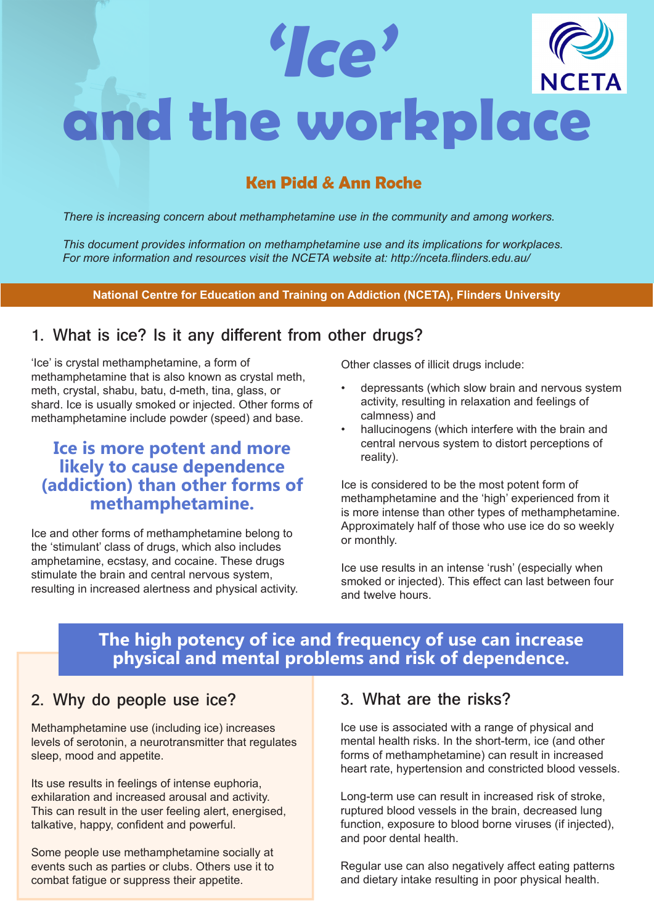

# **Ken Pidd & Ann Roche**

*There is increasing concern about methamphetamine use in the community and among workers.* 

*This document provides information on methamphetamine use and its implications for workplaces. For more information and resources visit the NCETA website at: <http://nceta.flinders.edu.au/>*

#### **National Centre for Education and Training on Addiction (NCETA), Flinders University**

### **1. What is ice? Is it any different from other drugs?**

'Ice' is crystal methamphetamine, a form of methamphetamine that is also known as crystal meth, meth, crystal, shabu, batu, d-meth, tina, glass, or shard. Ice is usually smoked or injected. Other forms of methamphetamine include powder (speed) and base.

### **Ice is more potent and more likely to cause dependence (addiction) than other forms of methamphetamine.**

Ice and other forms of methamphetamine belong to the 'stimulant' class of drugs, which also includes amphetamine, ecstasy, and cocaine. These drugs stimulate the brain and central nervous system, resulting in increased alertness and physical activity. Other classes of illicit drugs include:

- depressants (which slow brain and nervous system activity, resulting in relaxation and feelings of calmness) and
- hallucinogens (which interfere with the brain and central nervous system to distort perceptions of reality).

Ice is considered to be the most potent form of methamphetamine and the 'high' experienced from it is more intense than other types of methamphetamine. Approximately half of those who use ice do so weekly or monthly.

Ice use results in an intense 'rush' (especially when smoked or injected). This effect can last between four and twelve hours.

# **The high potency of ice and frequency of use can increase physical and mental problems and risk of dependence.**

### **2. Why do people use ice?**

Methamphetamine use (including ice) increases levels of serotonin, a neurotransmitter that regulates sleep, mood and appetite.

Its use results in feelings of intense euphoria, exhilaration and increased arousal and activity. This can result in the user feeling alert, energised, talkative, happy, confident and powerful.

Some people use methamphetamine socially at events such as parties or clubs. Others use it to combat fatigue or suppress their appetite.

#### **3. What are the risks?**

Ice use is associated with a range of physical and mental health risks. In the short-term, ice (and other forms of methamphetamine) can result in increased heart rate, hypertension and constricted blood vessels.

Long-term use can result in increased risk of stroke, ruptured blood vessels in the brain, decreased lung function, exposure to blood borne viruses (if injected), and poor dental health.

Regular use can also negatively affect eating patterns and dietary intake resulting in poor physical health.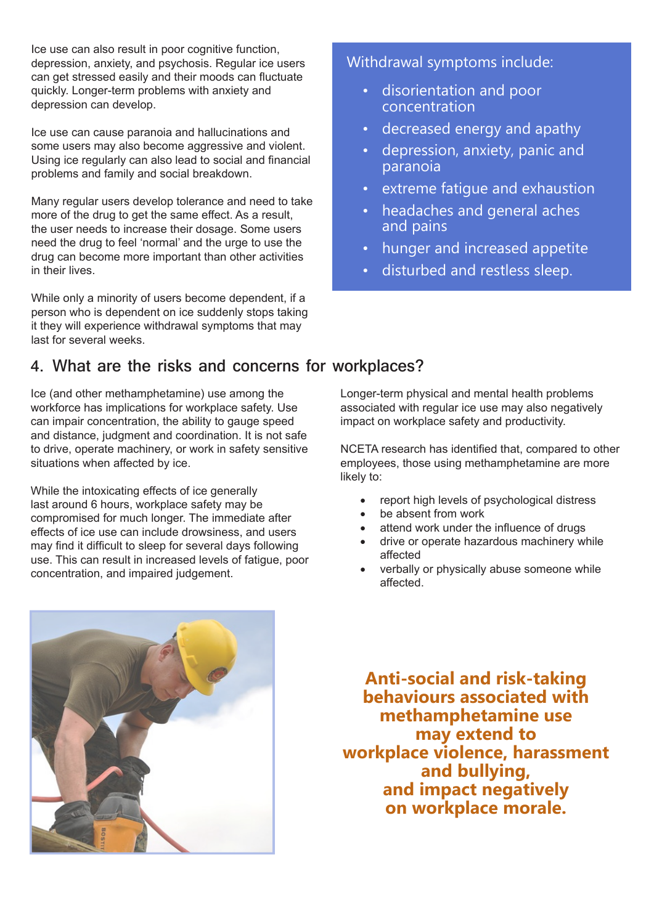Ice use can also result in poor cognitive function, depression, anxiety, and psychosis. Regular ice users can get stressed easily and their moods can fluctuate quickly. Longer-term problems with anxiety and depression can develop.

Ice use can cause paranoia and hallucinations and some users may also become aggressive and violent. Using ice regularly can also lead to social and financial problems and family and social breakdown.

Many regular users develop tolerance and need to take more of the drug to get the same effect. As a result, the user needs to increase their dosage. Some users need the drug to feel 'normal' and the urge to use the drug can become more important than other activities in their lives.

While only a minority of users become dependent, if a person who is dependent on ice suddenly stops taking it they will experience withdrawal symptoms that may last for several weeks.

### **4. What are the risks and concerns for workplaces?**

Ice (and other methamphetamine) use among the workforce has implications for workplace safety. Use can impair concentration, the ability to gauge speed and distance, judgment and coordination. It is not safe to drive, operate machinery, or work in safety sensitive situations when affected by ice.

While the intoxicating effects of ice generally last around 6 hours, workplace safety may be compromised for much longer. The immediate after effects of ice use can include drowsiness, and users may find it difficult to sleep for several days following use. This can result in increased levels of fatigue, poor concentration, and impaired judgement.

#### Withdrawal symptoms include:

- disorientation and poor concentration
- decreased energy and apathy
- depression, anxiety, panic and paranoia
- extreme fatique and exhaustion
- headaches and general aches and pains
- hunger and increased appetite
- disturbed and restless sleep.

Longer-term physical and mental health problems associated with regular ice use may also negatively impact on workplace safety and productivity.

NCETA research has identified that, compared to other employees, those using methamphetamine are more likely to:

- report high levels of psychological distress
- be absent from work
- attend work under the influence of drugs
- drive or operate hazardous machinery while affected
- verbally or physically abuse someone while affected.

**Anti-social and risk-taking behaviours associated with methamphetamine use may extend to workplace violence, harassment and bullying, and impact negatively on workplace morale.** 

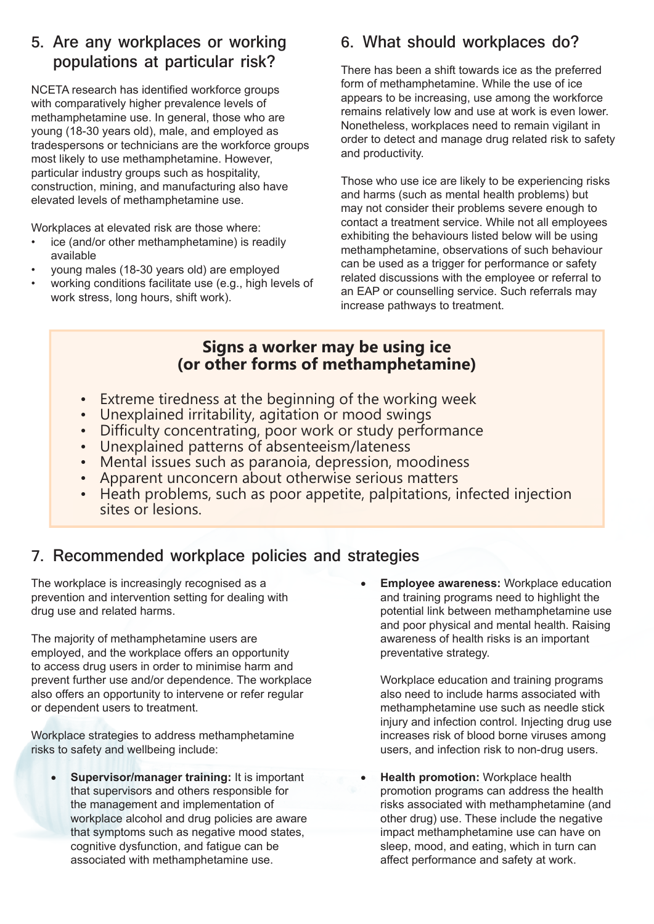### **5. Are any workplaces or working populations at particular risk?**

NCETA research has identified workforce groups with comparatively higher prevalence levels of methamphetamine use. In general, those who are young (18-30 years old), male, and employed as tradespersons or technicians are the workforce groups most likely to use methamphetamine. However, particular industry groups such as hospitality, construction, mining, and manufacturing also have elevated levels of methamphetamine use.

Workplaces at elevated risk are those where:

- ice (and/or other methamphetamine) is readily available
- young males (18-30 years old) are employed
- working conditions facilitate use (e.g., high levels of work stress, long hours, shift work).

# **6. What should workplaces do?**

There has been a shift towards ice as the preferred form of methamphetamine. While the use of ice appears to be increasing, use among the workforce remains relatively low and use at work is even lower. Nonetheless, workplaces need to remain vigilant in order to detect and manage drug related risk to safety and productivity.

Those who use ice are likely to be experiencing risks and harms (such as mental health problems) but may not consider their problems severe enough to contact a treatment service. While not all employees exhibiting the behaviours listed below will be using methamphetamine, observations of such behaviour can be used as a trigger for performance or safety related discussions with the employee or referral to an EAP or counselling service. Such referrals may increase pathways to treatment.

### **Signs a worker may be using ice (or other forms of methamphetamine)**

- Extreme tiredness at the beginning of the working week
- Unexplained irritability, agitation or mood swings
- Difficulty concentrating, poor work or study performance
- Unexplained patterns of absenteeism/lateness
- Mental issues such as paranoia, depression, moodiness
- Apparent unconcern about otherwise serious matters
- Heath problems, such as poor appetite, palpitations, infected injection sites or lesions.

# **7. Recommended workplace policies and strategies**

The workplace is increasingly recognised as a prevention and intervention setting for dealing with drug use and related harms.

The majority of methamphetamine users are employed, and the workplace offers an opportunity to access drug users in order to minimise harm and prevent further use and/or dependence. The workplace also offers an opportunity to intervene or refer regular or dependent users to treatment.

Workplace strategies to address methamphetamine risks to safety and wellbeing include:

**Supervisor/manager training: It is important** that supervisors and others responsible for the management and implementation of workplace alcohol and drug policies are aware that symptoms such as negative mood states, cognitive dysfunction, and fatigue can be associated with methamphetamine use.

**Employee awareness:** Workplace education and training programs need to highlight the potential link between methamphetamine use and poor physical and mental health. Raising awareness of health risks is an important preventative strategy.

Workplace education and training programs also need to include harms associated with methamphetamine use such as needle stick injury and infection control. Injecting drug use increases risk of blood borne viruses among users, and infection risk to non-drug users.

**Health promotion:** Workplace health promotion programs can address the health risks associated with methamphetamine (and other drug) use. These include the negative impact methamphetamine use can have on sleep, mood, and eating, which in turn can affect performance and safety at work.